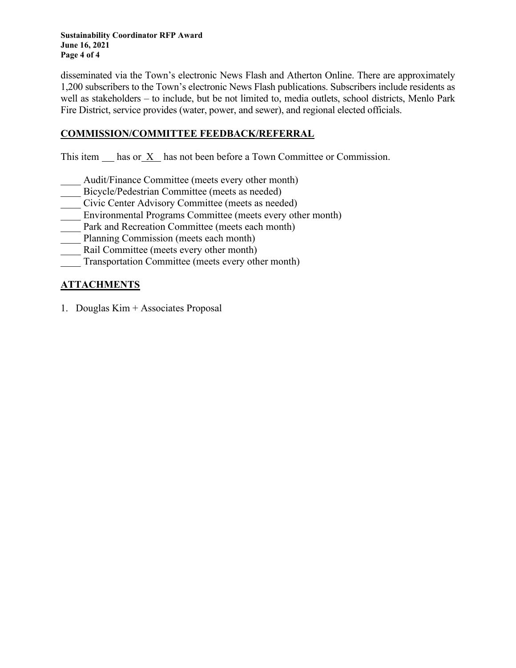disseminated via the Town's electronic News Flash and Atherton Online. There are approximately 1,200 subscribers to the Town's electronic News Flash publications. Subscribers include residents as well as stakeholders – to include, but be not limited to, media outlets, school districts, Menlo Park Fire District, service provides (water, power, and sewer), and regional elected officials.

## **COMMISSION/COMMITTEE FEEDBACK/REFERRAL**

This item  $\frac{1}{\sqrt{2}}$  has not been before a Town Committee or Commission.

- Audit/Finance Committee (meets every other month)
- Bicycle/Pedestrian Committee (meets as needed)
- Civic Center Advisory Committee (meets as needed)
- Environmental Programs Committee (meets every other month)
- Park and Recreation Committee (meets each month)
- Planning Commission (meets each month)
- Rail Committee (meets every other month)
- Transportation Committee (meets every other month)

## **ATTACHMENTS**

1. Douglas Kim + Associates Proposal